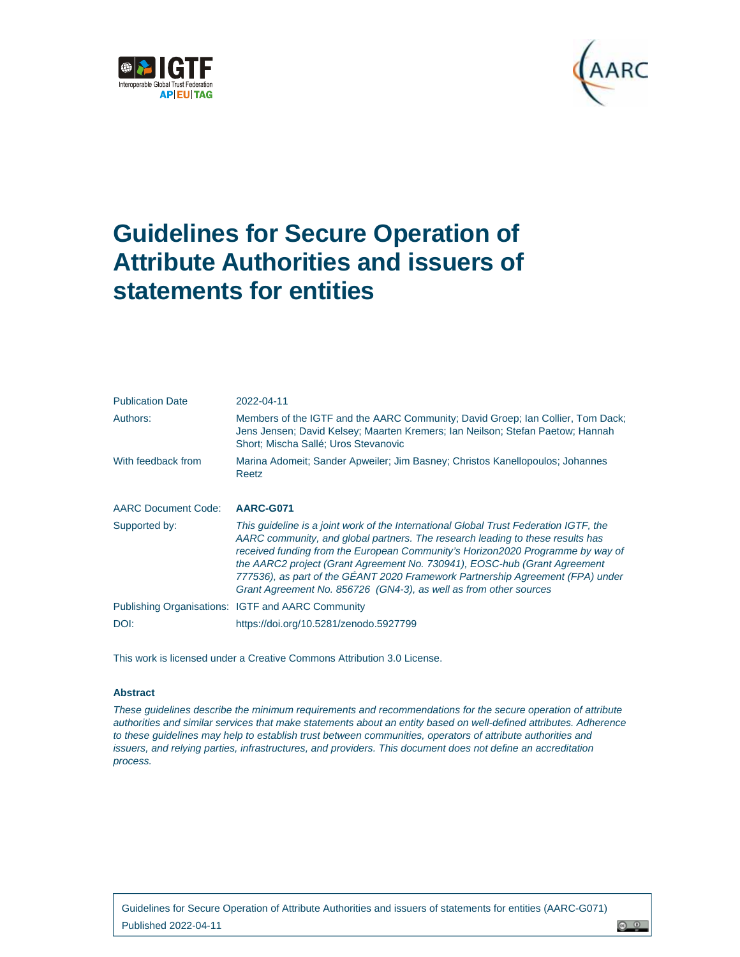



<u>ෙ ඉ</u>

# **Guidelines for Secure Operation of Attribute Authorities and issuers of statements for entities**

| <b>Publication Date</b>    | 2022-04-11                                                                                                                                                                                                                                                                                                                                                                                                                                                                                    |
|----------------------------|-----------------------------------------------------------------------------------------------------------------------------------------------------------------------------------------------------------------------------------------------------------------------------------------------------------------------------------------------------------------------------------------------------------------------------------------------------------------------------------------------|
| Authors:                   | Members of the IGTF and the AARC Community; David Groep; Ian Collier, Tom Dack;<br>Jens Jensen; David Kelsey; Maarten Kremers; Ian Neilson; Stefan Paetow; Hannah<br>Short: Mischa Sallé: Uros Stevanovic                                                                                                                                                                                                                                                                                     |
| With feedback from         | Marina Adomeit; Sander Apweiler; Jim Basney; Christos Kanellopoulos; Johannes<br>Reetz                                                                                                                                                                                                                                                                                                                                                                                                        |
| <b>AARC Document Code:</b> | AARC-G071                                                                                                                                                                                                                                                                                                                                                                                                                                                                                     |
| Supported by:              | This guideline is a joint work of the International Global Trust Federation IGTF, the<br>AARC community, and global partners. The research leading to these results has<br>received funding from the European Community's Horizon2020 Programme by way of<br>the AARC2 project (Grant Agreement No. 730941), EOSC-hub (Grant Agreement<br>777536), as part of the GEANT 2020 Framework Partnership Agreement (FPA) under<br>Grant Agreement No. 856726 (GN4-3), as well as from other sources |
|                            | Publishing Organisations: IGTF and AARC Community                                                                                                                                                                                                                                                                                                                                                                                                                                             |
| DOI:                       | https://doi.org/10.5281/zenodo.5927799                                                                                                                                                                                                                                                                                                                                                                                                                                                        |

This work is licensed under a Creative Commons Attribution 3.0 License.

#### **Abstract**

*These guidelines describe the minimum requirements and recommendations for the secure operation of attribute authorities and similar services that make statements about an entity based on well-defined attributes. Adherence to these guidelines may help to establish trust between communities, operators of attribute authorities and issuers, and relying parties, infrastructures, and providers. This document does not define an accreditation process.*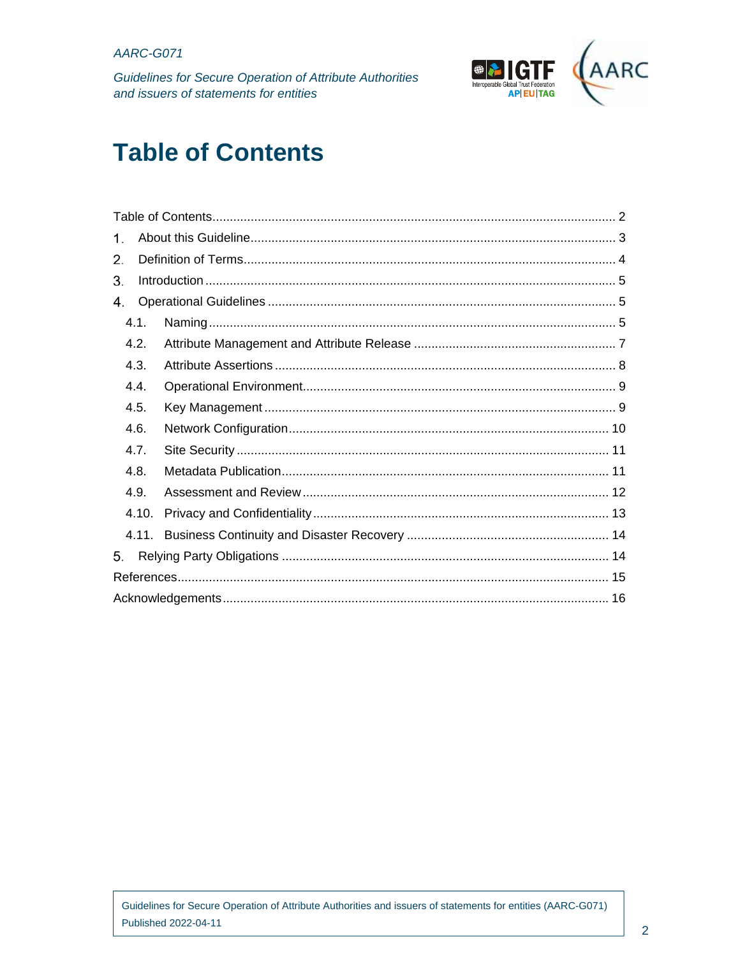Guidelines for Secure Operation of Attribute Authorities and issuers of statements for entities



# **Table of Contents**

| 1.    |  |  |  |  |
|-------|--|--|--|--|
| 2.    |  |  |  |  |
| 3.    |  |  |  |  |
| 4.    |  |  |  |  |
| 4.1.  |  |  |  |  |
| 4.2.  |  |  |  |  |
| 4.3.  |  |  |  |  |
| 4.4.  |  |  |  |  |
| 4.5.  |  |  |  |  |
| 4.6.  |  |  |  |  |
| 4.7.  |  |  |  |  |
| 4.8.  |  |  |  |  |
| 4.9.  |  |  |  |  |
| 4.10. |  |  |  |  |
|       |  |  |  |  |
| 5.    |  |  |  |  |
|       |  |  |  |  |
|       |  |  |  |  |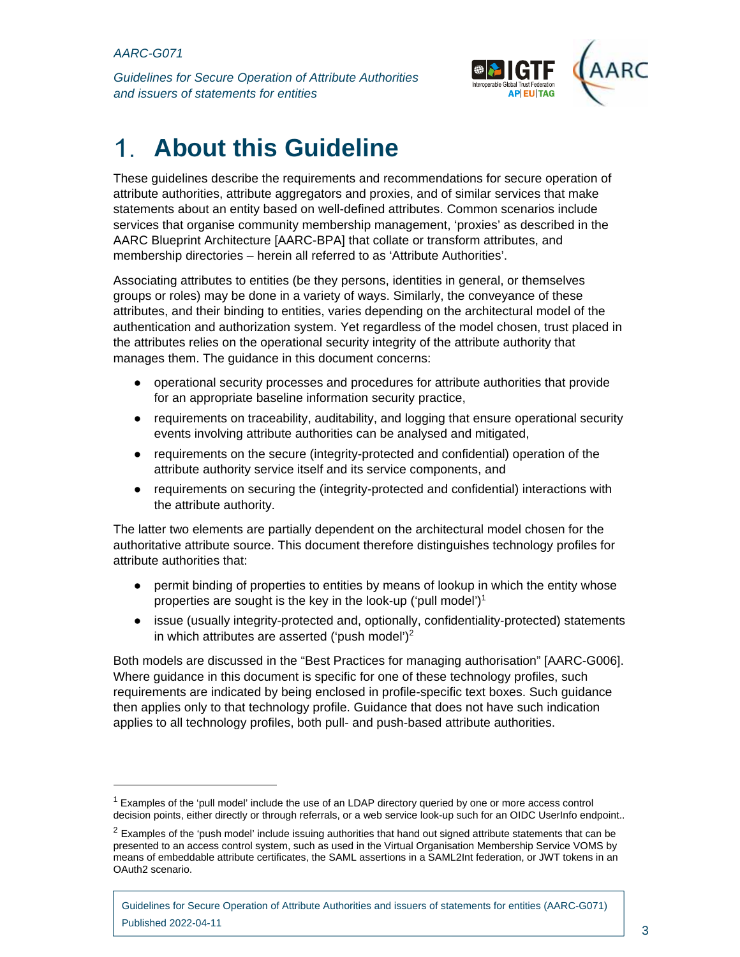$\overline{a}$ 

*Guidelines for Secure Operation of Attribute Authorities and issuers of statements for entities* 



# **About this Guideline**  1.

These guidelines describe the requirements and recommendations for secure operation of attribute authorities, attribute aggregators and proxies, and of similar services that make statements about an entity based on well-defined attributes. Common scenarios include services that organise community membership management, 'proxies' as described in the AARC Blueprint Architecture [AARC-BPA] that collate or transform attributes, and membership directories – herein all referred to as 'Attribute Authorities'.

Associating attributes to entities (be they persons, identities in general, or themselves groups or roles) may be done in a variety of ways. Similarly, the conveyance of these attributes, and their binding to entities, varies depending on the architectural model of the authentication and authorization system. Yet regardless of the model chosen, trust placed in the attributes relies on the operational security integrity of the attribute authority that manages them. The guidance in this document concerns:

- operational security processes and procedures for attribute authorities that provide for an appropriate baseline information security practice,
- requirements on traceability, auditability, and logging that ensure operational security events involving attribute authorities can be analysed and mitigated,
- requirements on the secure (integrity-protected and confidential) operation of the attribute authority service itself and its service components, and
- requirements on securing the (integrity-protected and confidential) interactions with the attribute authority.

The latter two elements are partially dependent on the architectural model chosen for the authoritative attribute source. This document therefore distinguishes technology profiles for attribute authorities that:

- permit binding of properties to entities by means of lookup in which the entity whose properties are sought is the key in the look-up ('pull model')<sup>1</sup>
- issue (usually integrity-protected and, optionally, confidentiality-protected) statements in which attributes are asserted ('push model')<sup>2</sup>

Both models are discussed in the "Best Practices for managing authorisation" [AARC-G006]. Where guidance in this document is specific for one of these technology profiles, such requirements are indicated by being enclosed in profile-specific text boxes. Such guidance then applies only to that technology profile. Guidance that does not have such indication applies to all technology profiles, both pull- and push-based attribute authorities.

<sup>&</sup>lt;sup>1</sup> Examples of the 'pull model' include the use of an LDAP directory queried by one or more access control decision points, either directly or through referrals, or a web service look-up such for an OIDC UserInfo endpoint..

 $2$  Examples of the 'push model' include issuing authorities that hand out signed attribute statements that can be presented to an access control system, such as used in the Virtual Organisation Membership Service VOMS by means of embeddable attribute certificates, the SAML assertions in a SAML2Int federation, or JWT tokens in an OAuth2 scenario.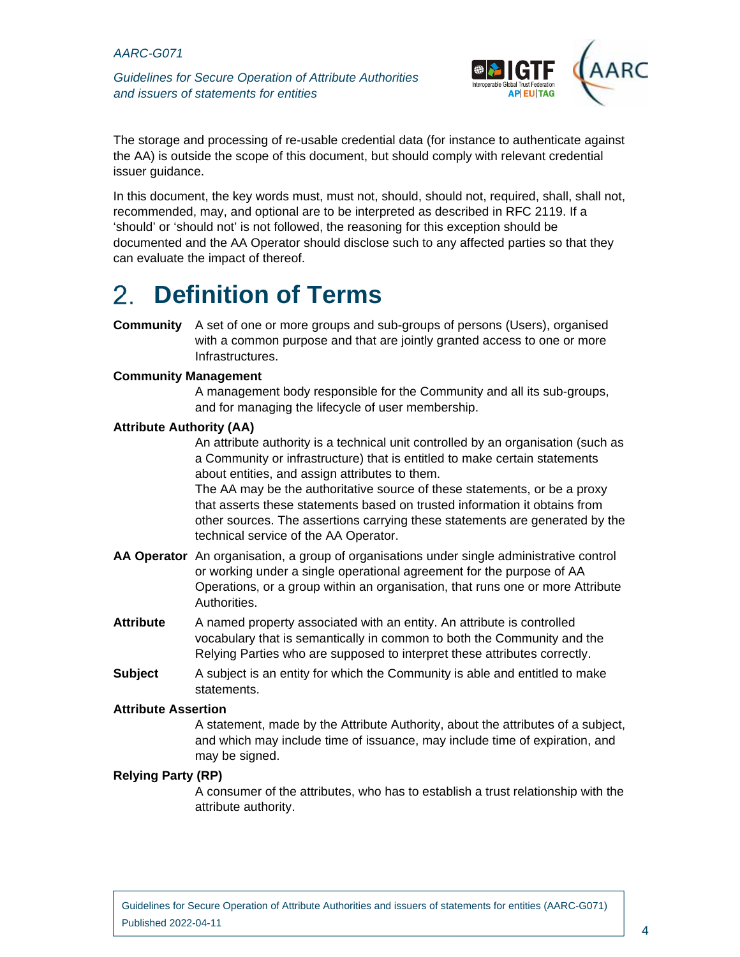*Guidelines for Secure Operation of Attribute Authorities and issuers of statements for entities* 



The storage and processing of re-usable credential data (for instance to authenticate against the AA) is outside the scope of this document, but should comply with relevant credential issuer guidance.

In this document, the key words must, must not, should, should not, required, shall, shall not, recommended, may, and optional are to be interpreted as described in RFC 2119. If a 'should' or 'should not' is not followed, the reasoning for this exception should be documented and the AA Operator should disclose such to any affected parties so that they can evaluate the impact of thereof.

#### 2. **Definition of Terms**

**Community** A set of one or more groups and sub-groups of persons (Users), organised with a common purpose and that are jointly granted access to one or more Infrastructures.

#### **Community Management**

A management body responsible for the Community and all its sub-groups, and for managing the lifecycle of user membership.

#### **Attribute Authority (AA)**

An attribute authority is a technical unit controlled by an organisation (such as a Community or infrastructure) that is entitled to make certain statements about entities, and assign attributes to them.

The AA may be the authoritative source of these statements, or be a proxy that asserts these statements based on trusted information it obtains from other sources. The assertions carrying these statements are generated by the technical service of the AA Operator.

- **AA Operator** An organisation, a group of organisations under single administrative control or working under a single operational agreement for the purpose of AA Operations, or a group within an organisation, that runs one or more Attribute Authorities.
- **Attribute** A named property associated with an entity. An attribute is controlled vocabulary that is semantically in common to both the Community and the Relying Parties who are supposed to interpret these attributes correctly.
- **Subject** A subject is an entity for which the Community is able and entitled to make statements.

#### **Attribute Assertion**

A statement, made by the Attribute Authority, about the attributes of a subject, and which may include time of issuance, may include time of expiration, and may be signed.

#### **Relying Party (RP)**

A consumer of the attributes, who has to establish a trust relationship with the attribute authority.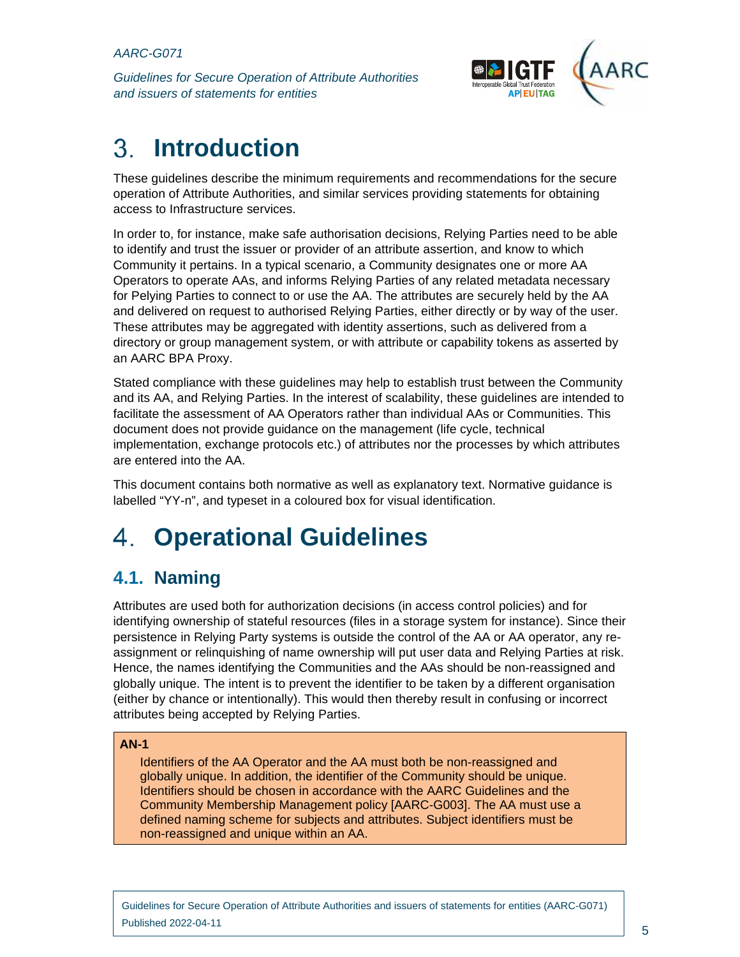*Guidelines for Secure Operation of Attribute Authorities and issuers of statements for entities* 



### 3. **Introduction**

These guidelines describe the minimum requirements and recommendations for the secure operation of Attribute Authorities, and similar services providing statements for obtaining access to Infrastructure services.

In order to, for instance, make safe authorisation decisions, Relying Parties need to be able to identify and trust the issuer or provider of an attribute assertion, and know to which Community it pertains. In a typical scenario, a Community designates one or more AA Operators to operate AAs, and informs Relying Parties of any related metadata necessary for Pelying Parties to connect to or use the AA. The attributes are securely held by the AA and delivered on request to authorised Relying Parties, either directly or by way of the user. These attributes may be aggregated with identity assertions, such as delivered from a directory or group management system, or with attribute or capability tokens as asserted by an AARC BPA Proxy.

Stated compliance with these guidelines may help to establish trust between the Community and its AA, and Relying Parties. In the interest of scalability, these guidelines are intended to facilitate the assessment of AA Operators rather than individual AAs or Communities. This document does not provide guidance on the management (life cycle, technical implementation, exchange protocols etc.) of attributes nor the processes by which attributes are entered into the AA.

This document contains both normative as well as explanatory text. Normative guidance is labelled "YY-n", and typeset in a coloured box for visual identification.

# **Operational Guidelines**  4

# **4.1. Naming**

Attributes are used both for authorization decisions (in access control policies) and for identifying ownership of stateful resources (files in a storage system for instance). Since their persistence in Relying Party systems is outside the control of the AA or AA operator, any reassignment or relinquishing of name ownership will put user data and Relying Parties at risk. Hence, the names identifying the Communities and the AAs should be non-reassigned and globally unique. The intent is to prevent the identifier to be taken by a different organisation (either by chance or intentionally). This would then thereby result in confusing or incorrect attributes being accepted by Relying Parties.

# **AN-1**

Identifiers of the AA Operator and the AA must both be non-reassigned and globally unique. In addition, the identifier of the Community should be unique. Identifiers should be chosen in accordance with the AARC Guidelines and the Community Membership Management policy [AARC-G003]. The AA must use a defined naming scheme for subjects and attributes. Subject identifiers must be non-reassigned and unique within an AA.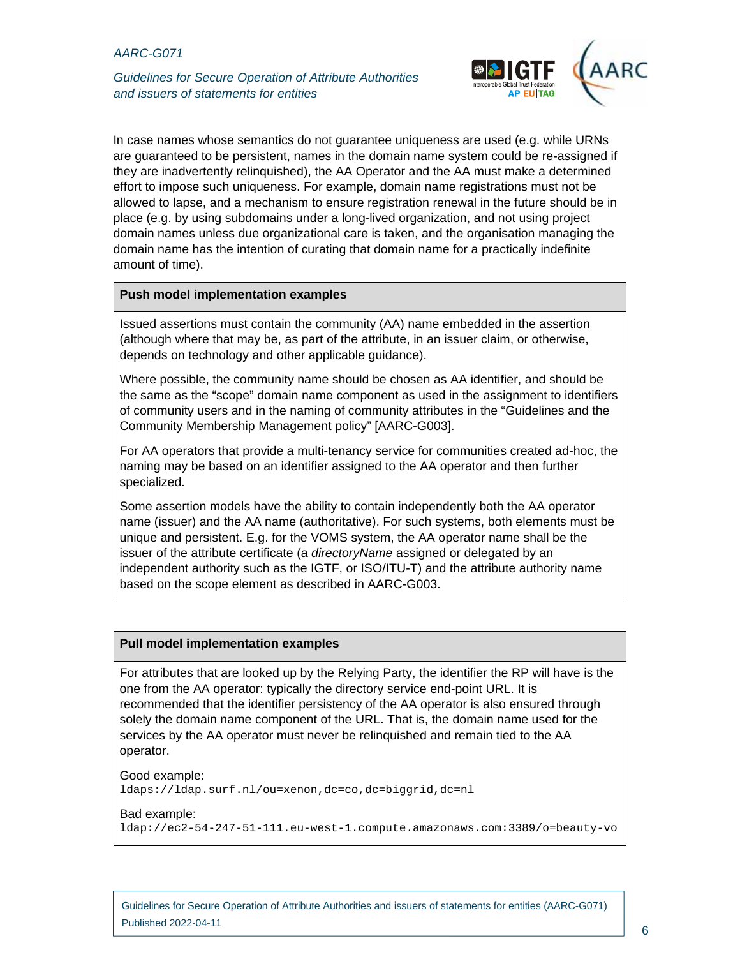*Guidelines for Secure Operation of Attribute Authorities and issuers of statements for entities* 



In case names whose semantics do not guarantee uniqueness are used (e.g. while URNs are guaranteed to be persistent, names in the domain name system could be re-assigned if they are inadvertently relinquished), the AA Operator and the AA must make a determined effort to impose such uniqueness. For example, domain name registrations must not be allowed to lapse, and a mechanism to ensure registration renewal in the future should be in place (e.g. by using subdomains under a long-lived organization, and not using project domain names unless due organizational care is taken, and the organisation managing the domain name has the intention of curating that domain name for a practically indefinite amount of time).

#### **Push model implementation examples**

Issued assertions must contain the community (AA) name embedded in the assertion (although where that may be, as part of the attribute, in an issuer claim, or otherwise, depends on technology and other applicable guidance).

Where possible, the community name should be chosen as AA identifier, and should be the same as the "scope" domain name component as used in the assignment to identifiers of community users and in the naming of community attributes in the "Guidelines and the Community Membership Management policy" [AARC-G003].

For AA operators that provide a multi-tenancy service for communities created ad-hoc, the naming may be based on an identifier assigned to the AA operator and then further specialized.

Some assertion models have the ability to contain independently both the AA operator name (issuer) and the AA name (authoritative). For such systems, both elements must be unique and persistent. E.g. for the VOMS system, the AA operator name shall be the issuer of the attribute certificate (a *directoryName* assigned or delegated by an independent authority such as the IGTF, or ISO/ITU-T) and the attribute authority name based on the scope element as described in AARC-G003.

#### **Pull model implementation examples**

For attributes that are looked up by the Relying Party, the identifier the RP will have is the one from the AA operator: typically the directory service end-point URL. It is recommended that the identifier persistency of the AA operator is also ensured through solely the domain name component of the URL. That is, the domain name used for the services by the AA operator must never be relinquished and remain tied to the AA operator.

Good example: ldaps://ldap.surf.nl/ou=xenon,dc=co,dc=biggrid,dc=nl

#### Bad example:

ldap://ec2-54-247-51-111.eu-west-1.compute.amazonaws.com:3389/o=beauty-vo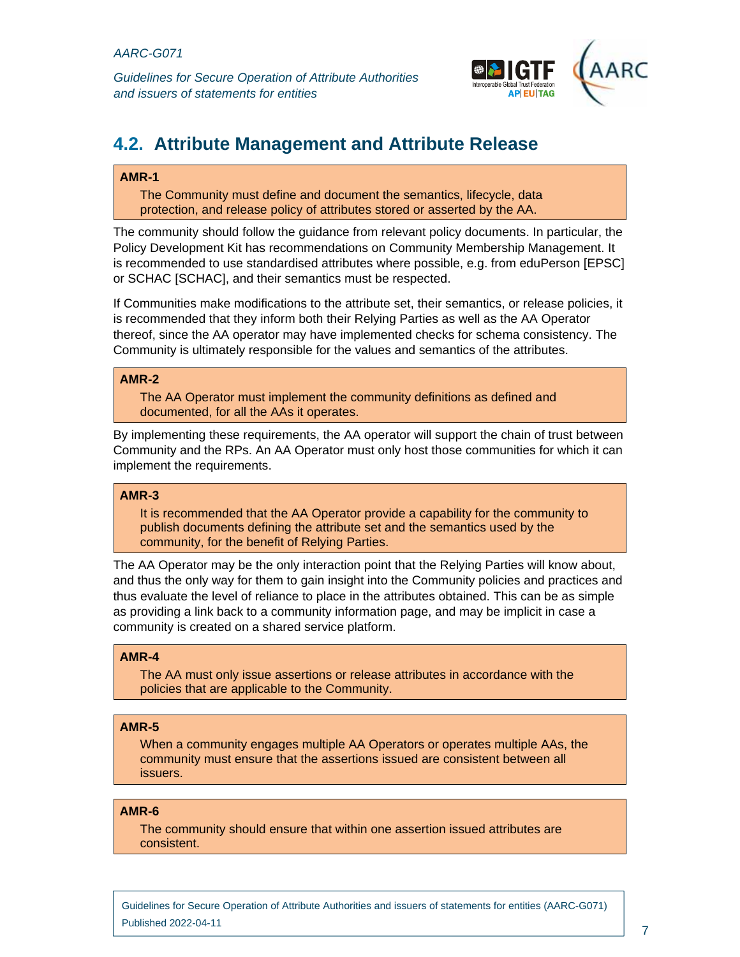

# **4.2. Attribute Management and Attribute Release**

### **AMR-1**

The Community must define and document the semantics, lifecycle, data protection, and release policy of attributes stored or asserted by the AA.

The community should follow the guidance from relevant policy documents. In particular, the Policy Development Kit has recommendations on Community Membership Management. It is recommended to use standardised attributes where possible, e.g. from eduPerson [EPSC] or SCHAC [SCHAC], and their semantics must be respected.

If Communities make modifications to the attribute set, their semantics, or release policies, it is recommended that they inform both their Relying Parties as well as the AA Operator thereof, since the AA operator may have implemented checks for schema consistency. The Community is ultimately responsible for the values and semantics of the attributes.

### **AMR-2**

The AA Operator must implement the community definitions as defined and documented, for all the AAs it operates.

By implementing these requirements, the AA operator will support the chain of trust between Community and the RPs. An AA Operator must only host those communities for which it can implement the requirements.

#### **AMR-3**

It is recommended that the AA Operator provide a capability for the community to publish documents defining the attribute set and the semantics used by the community, for the benefit of Relying Parties.

The AA Operator may be the only interaction point that the Relying Parties will know about, and thus the only way for them to gain insight into the Community policies and practices and thus evaluate the level of reliance to place in the attributes obtained. This can be as simple as providing a link back to a community information page, and may be implicit in case a community is created on a shared service platform.

#### **AMR-4**

The AA must only issue assertions or release attributes in accordance with the policies that are applicable to the Community.

#### **AMR-5**

When a community engages multiple AA Operators or operates multiple AAs, the community must ensure that the assertions issued are consistent between all issuers.

#### **AMR-6**

The community should ensure that within one assertion issued attributes are consistent.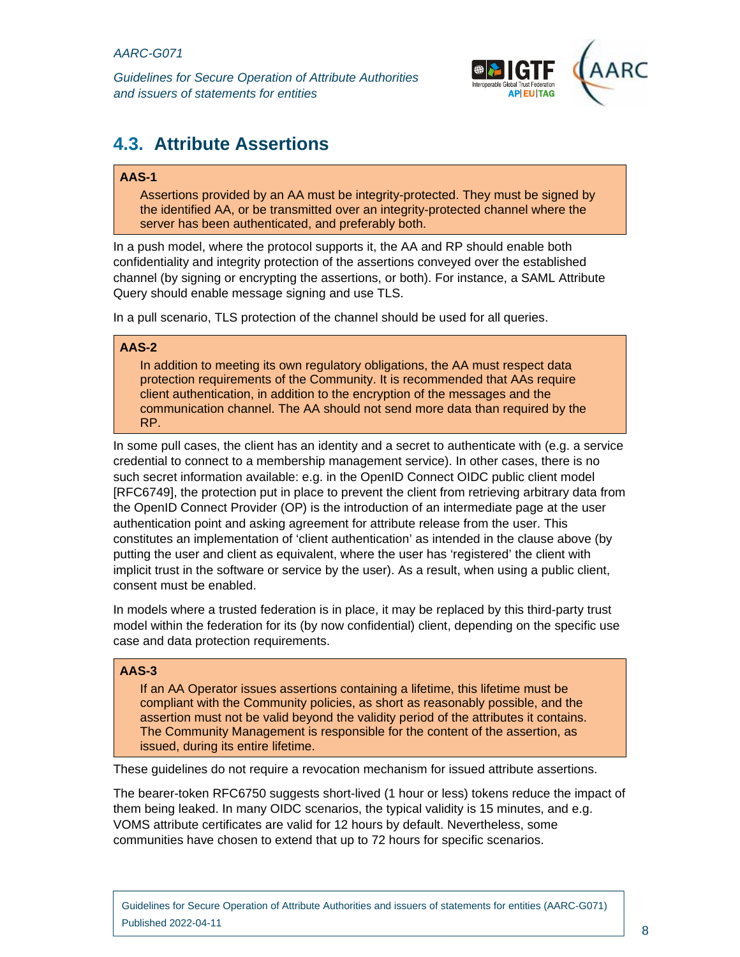

# **4.3. Attribute Assertions**

# **AAS-1**

Assertions provided by an AA must be integrity-protected. They must be signed by the identified AA, or be transmitted over an integrity-protected channel where the server has been authenticated, and preferably both.

In a push model, where the protocol supports it, the AA and RP should enable both confidentiality and integrity protection of the assertions conveyed over the established channel (by signing or encrypting the assertions, or both). For instance, a SAML Attribute Query should enable message signing and use TLS.

In a pull scenario, TLS protection of the channel should be used for all queries.

### **AAS-2**

In addition to meeting its own regulatory obligations, the AA must respect data protection requirements of the Community. It is recommended that AAs require client authentication, in addition to the encryption of the messages and the communication channel. The AA should not send more data than required by the RP.

In some pull cases, the client has an identity and a secret to authenticate with (e.g. a service credential to connect to a membership management service). In other cases, there is no such secret information available: e.g. in the OpenID Connect OIDC public client model [RFC6749], the protection put in place to prevent the client from retrieving arbitrary data from the OpenID Connect Provider (OP) is the introduction of an intermediate page at the user authentication point and asking agreement for attribute release from the user. This constitutes an implementation of 'client authentication' as intended in the clause above (by putting the user and client as equivalent, where the user has 'registered' the client with implicit trust in the software or service by the user). As a result, when using a public client, consent must be enabled.

In models where a trusted federation is in place, it may be replaced by this third-party trust model within the federation for its (by now confidential) client, depending on the specific use case and data protection requirements.

# **AAS-3**

If an AA Operator issues assertions containing a lifetime, this lifetime must be compliant with the Community policies, as short as reasonably possible, and the assertion must not be valid beyond the validity period of the attributes it contains. The Community Management is responsible for the content of the assertion, as issued, during its entire lifetime.

These guidelines do not require a revocation mechanism for issued attribute assertions.

The bearer-token RFC6750 suggests short-lived (1 hour or less) tokens reduce the impact of them being leaked. In many OIDC scenarios, the typical validity is 15 minutes, and e.g. VOMS attribute certificates are valid for 12 hours by default. Nevertheless, some communities have chosen to extend that up to 72 hours for specific scenarios.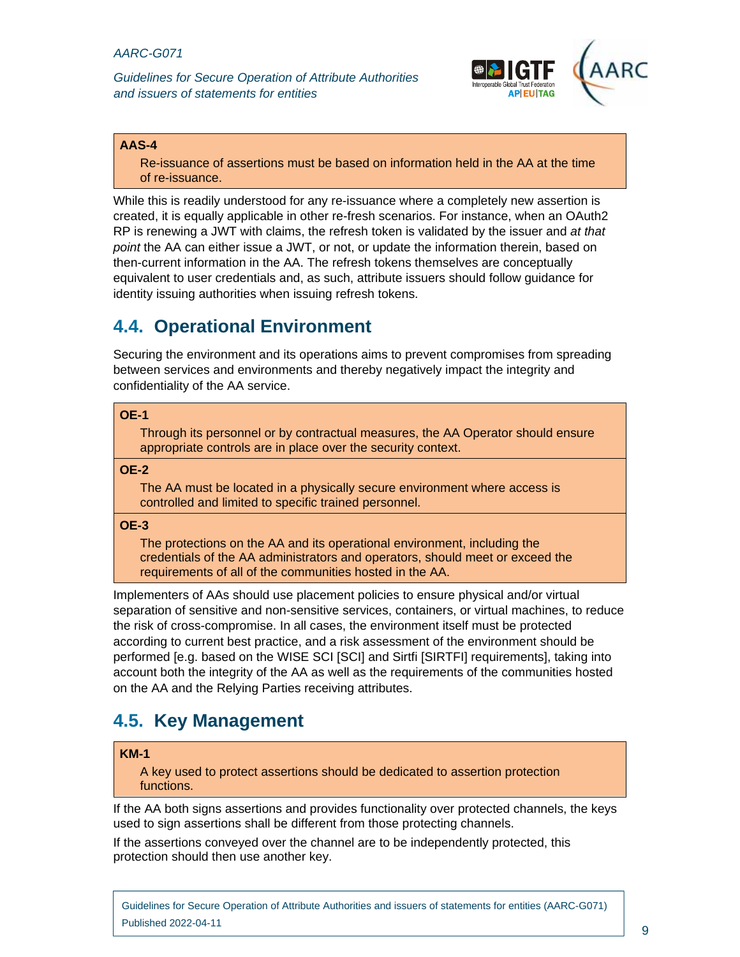

### **AAS-4**

Re-issuance of assertions must be based on information held in the AA at the time of re-issuance.

While this is readily understood for any re-issuance where a completely new assertion is created, it is equally applicable in other re-fresh scenarios. For instance, when an OAuth2 RP is renewing a JWT with claims, the refresh token is validated by the issuer and *at that point* the AA can either issue a JWT, or not, or update the information therein, based on then-current information in the AA. The refresh tokens themselves are conceptually equivalent to user credentials and, as such, attribute issuers should follow guidance for identity issuing authorities when issuing refresh tokens.

# **4.4. Operational Environment**

Securing the environment and its operations aims to prevent compromises from spreading between services and environments and thereby negatively impact the integrity and confidentiality of the AA service.

#### **OE-1**

Through its personnel or by contractual measures, the AA Operator should ensure appropriate controls are in place over the security context.

#### **OE-2**

The AA must be located in a physically secure environment where access is controlled and limited to specific trained personnel.

#### **OE-3**

The protections on the AA and its operational environment, including the credentials of the AA administrators and operators, should meet or exceed the requirements of all of the communities hosted in the AA.

Implementers of AAs should use placement policies to ensure physical and/or virtual separation of sensitive and non-sensitive services, containers, or virtual machines, to reduce the risk of cross-compromise. In all cases, the environment itself must be protected according to current best practice, and a risk assessment of the environment should be performed [e.g. based on the WISE SCI [SCI] and Sirtfi [SIRTFI] requirements], taking into account both the integrity of the AA as well as the requirements of the communities hosted on the AA and the Relying Parties receiving attributes.

# **4.5. Key Management**

#### **KM-1**

A key used to protect assertions should be dedicated to assertion protection functions.

If the AA both signs assertions and provides functionality over protected channels, the keys used to sign assertions shall be different from those protecting channels.

If the assertions conveyed over the channel are to be independently protected, this protection should then use another key.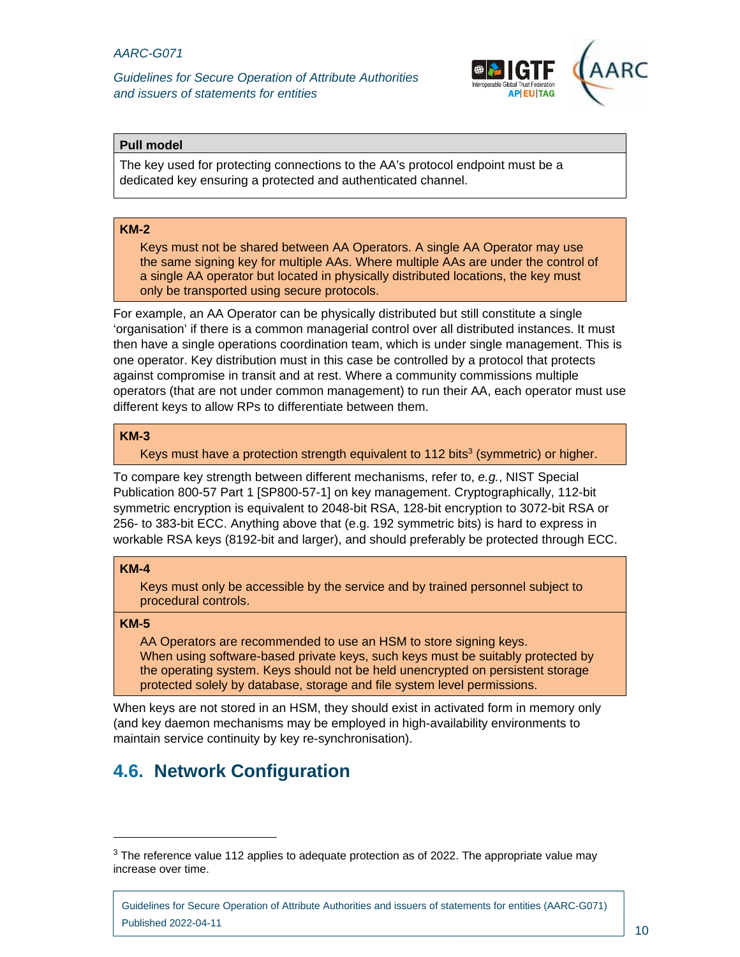

### **Pull model**

The key used for protecting connections to the AA's protocol endpoint must be a dedicated key ensuring a protected and authenticated channel.

### **KM-2**

Keys must not be shared between AA Operators. A single AA Operator may use the same signing key for multiple AAs. Where multiple AAs are under the control of a single AA operator but located in physically distributed locations, the key must only be transported using secure protocols.

For example, an AA Operator can be physically distributed but still constitute a single 'organisation' if there is a common managerial control over all distributed instances. It must then have a single operations coordination team, which is under single management. This is one operator. Key distribution must in this case be controlled by a protocol that protects against compromise in transit and at rest. Where a community commissions multiple operators (that are not under common management) to run their AA, each operator must use different keys to allow RPs to differentiate between them.

# **KM-3**

Keys must have a protection strength equivalent to 112 bits<sup>3</sup> (symmetric) or higher.

To compare key strength between different mechanisms, refer to, *e.g.*, NIST Special Publication 800-57 Part 1 [SP800-57-1] on key management. Cryptographically, 112-bit symmetric encryption is equivalent to 2048-bit RSA, 128-bit encryption to 3072-bit RSA or 256- to 383-bit ECC. Anything above that (e.g. 192 symmetric bits) is hard to express in workable RSA keys (8192-bit and larger), and should preferably be protected through ECC.

#### **KM-4**

Keys must only be accessible by the service and by trained personnel subject to procedural controls.

#### **KM-5**

-

AA Operators are recommended to use an HSM to store signing keys. When using software-based private keys, such keys must be suitably protected by the operating system. Keys should not be held unencrypted on persistent storage protected solely by database, storage and file system level permissions.

When keys are not stored in an HSM, they should exist in activated form in memory only (and key daemon mechanisms may be employed in high-availability environments to maintain service continuity by key re-synchronisation).

# **4.6. Network Configuration**

 $3$  The reference value 112 applies to adequate protection as of 2022. The appropriate value may increase over time.

Guidelines for Secure Operation of Attribute Authorities and issuers of statements for entities (AARC-G071) Published 2022-04-11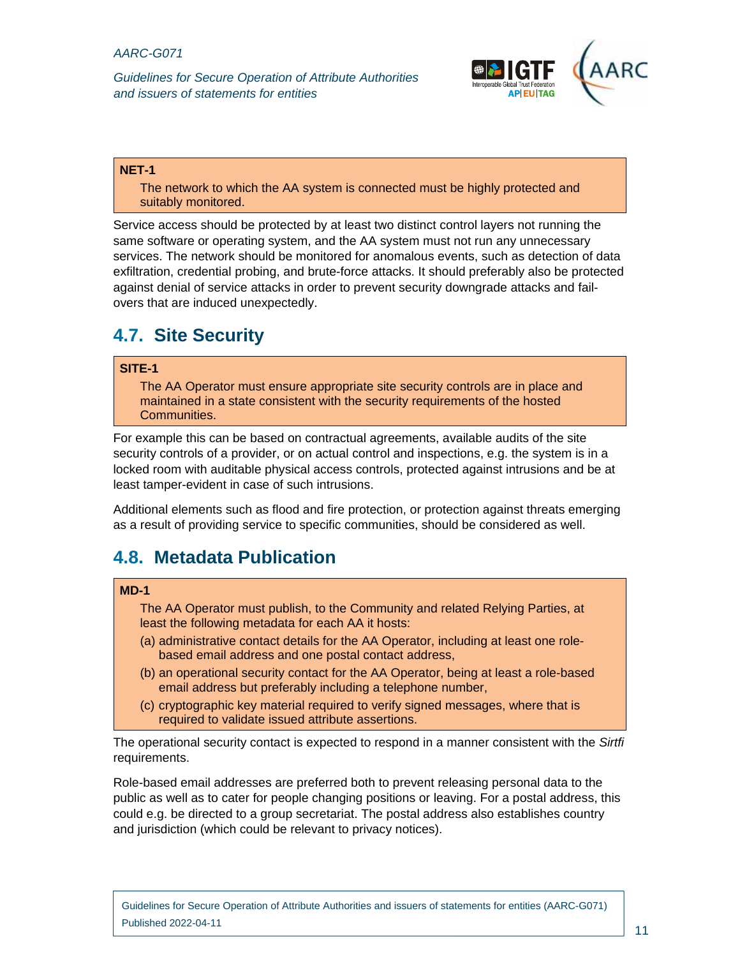*Guidelines for Secure Operation of Attribute Authorities and issuers of statements for entities* 



#### **NET-1**

The network to which the AA system is connected must be highly protected and suitably monitored.

Service access should be protected by at least two distinct control layers not running the same software or operating system, and the AA system must not run any unnecessary services. The network should be monitored for anomalous events, such as detection of data exfiltration, credential probing, and brute-force attacks. It should preferably also be protected against denial of service attacks in order to prevent security downgrade attacks and failovers that are induced unexpectedly.

# **4.7. Site Security**

### **SITE-1**

The AA Operator must ensure appropriate site security controls are in place and maintained in a state consistent with the security requirements of the hosted Communities.

For example this can be based on contractual agreements, available audits of the site security controls of a provider, or on actual control and inspections, e.g. the system is in a locked room with auditable physical access controls, protected against intrusions and be at least tamper-evident in case of such intrusions.

Additional elements such as flood and fire protection, or protection against threats emerging as a result of providing service to specific communities, should be considered as well.

# **4.8. Metadata Publication**

### **MD-1**

The AA Operator must publish, to the Community and related Relying Parties, at least the following metadata for each AA it hosts:

- (a) administrative contact details for the AA Operator, including at least one rolebased email address and one postal contact address,
- (b) an operational security contact for the AA Operator, being at least a role-based email address but preferably including a telephone number,
- (c) cryptographic key material required to verify signed messages, where that is required to validate issued attribute assertions.

The operational security contact is expected to respond in a manner consistent with the *Sirtfi* requirements.

Role-based email addresses are preferred both to prevent releasing personal data to the public as well as to cater for people changing positions or leaving. For a postal address, this could e.g. be directed to a group secretariat. The postal address also establishes country and jurisdiction (which could be relevant to privacy notices).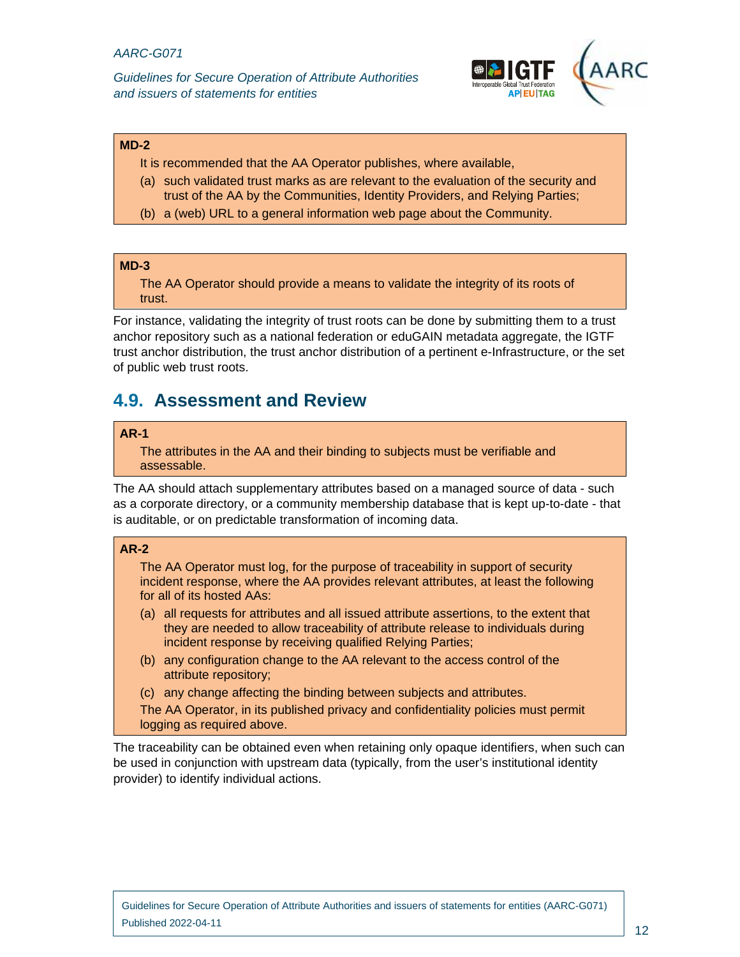

#### **MD-2**

It is recommended that the AA Operator publishes, where available,

- (a) such validated trust marks as are relevant to the evaluation of the security and trust of the AA by the Communities, Identity Providers, and Relying Parties;
- (b) a (web) URL to a general information web page about the Community.

# **MD-3**

The AA Operator should provide a means to validate the integrity of its roots of trust.

For instance, validating the integrity of trust roots can be done by submitting them to a trust anchor repository such as a national federation or eduGAIN metadata aggregate, the IGTF trust anchor distribution, the trust anchor distribution of a pertinent e-Infrastructure, or the set of public web trust roots.

# **4.9. Assessment and Review**

#### **AR-1**

The attributes in the AA and their binding to subjects must be verifiable and assessable.

The AA should attach supplementary attributes based on a managed source of data - such as a corporate directory, or a community membership database that is kept up-to-date - that is auditable, or on predictable transformation of incoming data.

# **AR-2**

The AA Operator must log, for the purpose of traceability in support of security incident response, where the AA provides relevant attributes, at least the following for all of its hosted AAs:

- (a) all requests for attributes and all issued attribute assertions, to the extent that they are needed to allow traceability of attribute release to individuals during incident response by receiving qualified Relying Parties;
- (b) any configuration change to the AA relevant to the access control of the attribute repository;
- (c) any change affecting the binding between subjects and attributes.

The AA Operator, in its published privacy and confidentiality policies must permit logging as required above.

The traceability can be obtained even when retaining only opaque identifiers, when such can be used in conjunction with upstream data (typically, from the user's institutional identity provider) to identify individual actions.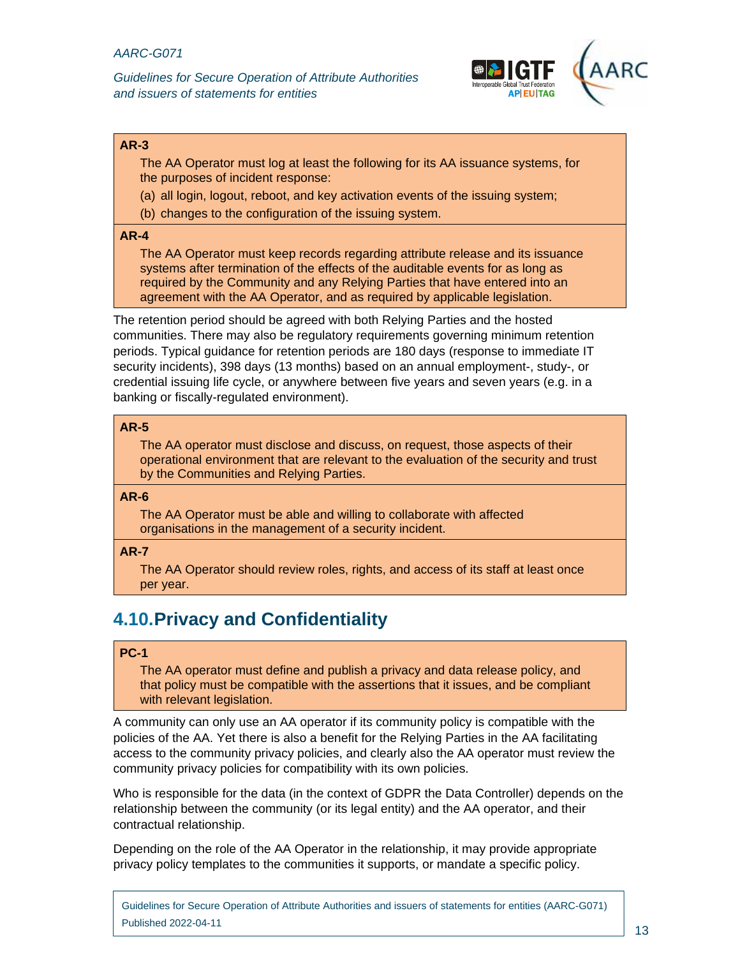

### **AR-3**

The AA Operator must log at least the following for its AA issuance systems, for the purposes of incident response:

(a) all login, logout, reboot, and key activation events of the issuing system;

(b) changes to the configuration of the issuing system.

#### **AR-4**

The AA Operator must keep records regarding attribute release and its issuance systems after termination of the effects of the auditable events for as long as required by the Community and any Relying Parties that have entered into an agreement with the AA Operator, and as required by applicable legislation.

The retention period should be agreed with both Relying Parties and the hosted communities. There may also be regulatory requirements governing minimum retention periods. Typical guidance for retention periods are 180 days (response to immediate IT security incidents), 398 days (13 months) based on an annual employment-, study-, or credential issuing life cycle, or anywhere between five years and seven years (e.g. in a banking or fiscally-regulated environment).

### **AR-5**

The AA operator must disclose and discuss, on request, those aspects of their operational environment that are relevant to the evaluation of the security and trust by the Communities and Relying Parties.

#### **AR-6**

The AA Operator must be able and willing to collaborate with affected organisations in the management of a security incident.

#### **AR-7**

The AA Operator should review roles, rights, and access of its staff at least once per year.

# **4.10. Privacy and Confidentiality**

### **PC-1**

The AA operator must define and publish a privacy and data release policy, and that policy must be compatible with the assertions that it issues, and be compliant with relevant legislation.

A community can only use an AA operator if its community policy is compatible with the policies of the AA. Yet there is also a benefit for the Relying Parties in the AA facilitating access to the community privacy policies, and clearly also the AA operator must review the community privacy policies for compatibility with its own policies.

Who is responsible for the data (in the context of GDPR the Data Controller) depends on the relationship between the community (or its legal entity) and the AA operator, and their contractual relationship.

Depending on the role of the AA Operator in the relationship, it may provide appropriate privacy policy templates to the communities it supports, or mandate a specific policy.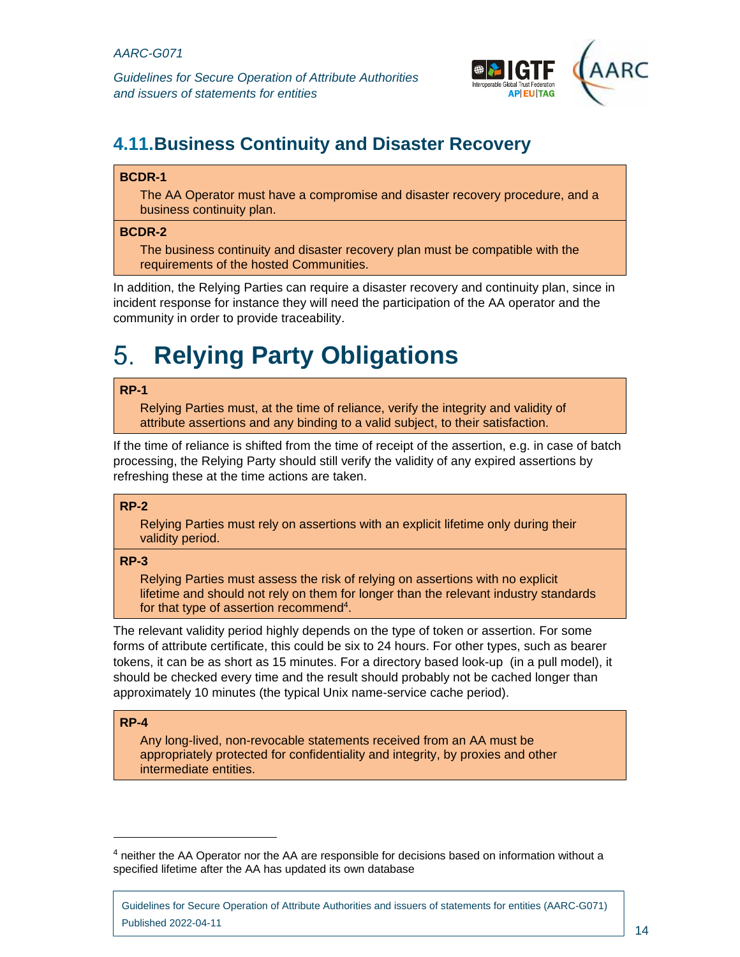*Guidelines for Secure Operation of Attribute Authorities and issuers of statements for entities* 



# **4.11. Business Continuity and Disaster Recovery**

# **BCDR-1**

The AA Operator must have a compromise and disaster recovery procedure, and a business continuity plan.

### **BCDR-2**

The business continuity and disaster recovery plan must be compatible with the requirements of the hosted Communities.

In addition, the Relying Parties can require a disaster recovery and continuity plan, since in incident response for instance they will need the participation of the AA operator and the community in order to provide traceability.

# **Relying Party Obligations**  5.

# **RP-1**

Relying Parties must, at the time of reliance, verify the integrity and validity of attribute assertions and any binding to a valid subject, to their satisfaction.

If the time of reliance is shifted from the time of receipt of the assertion, e.g. in case of batch processing, the Relying Party should still verify the validity of any expired assertions by refreshing these at the time actions are taken.

# **RP-2**

Relying Parties must rely on assertions with an explicit lifetime only during their validity period.

# **RP-3**

Relying Parties must assess the risk of relying on assertions with no explicit lifetime and should not rely on them for longer than the relevant industry standards for that type of assertion recommend<sup>4</sup>.

The relevant validity period highly depends on the type of token or assertion. For some forms of attribute certificate, this could be six to 24 hours. For other types, such as bearer tokens, it can be as short as 15 minutes. For a directory based look-up (in a pull model), it should be checked every time and the result should probably not be cached longer than approximately 10 minutes (the typical Unix name-service cache period).

# **RP-4**

 $\overline{a}$ 

Any long-lived, non-revocable statements received from an AA must be appropriately protected for confidentiality and integrity, by proxies and other intermediate entities.

<sup>&</sup>lt;sup>4</sup> neither the AA Operator nor the AA are responsible for decisions based on information without a specified lifetime after the AA has updated its own database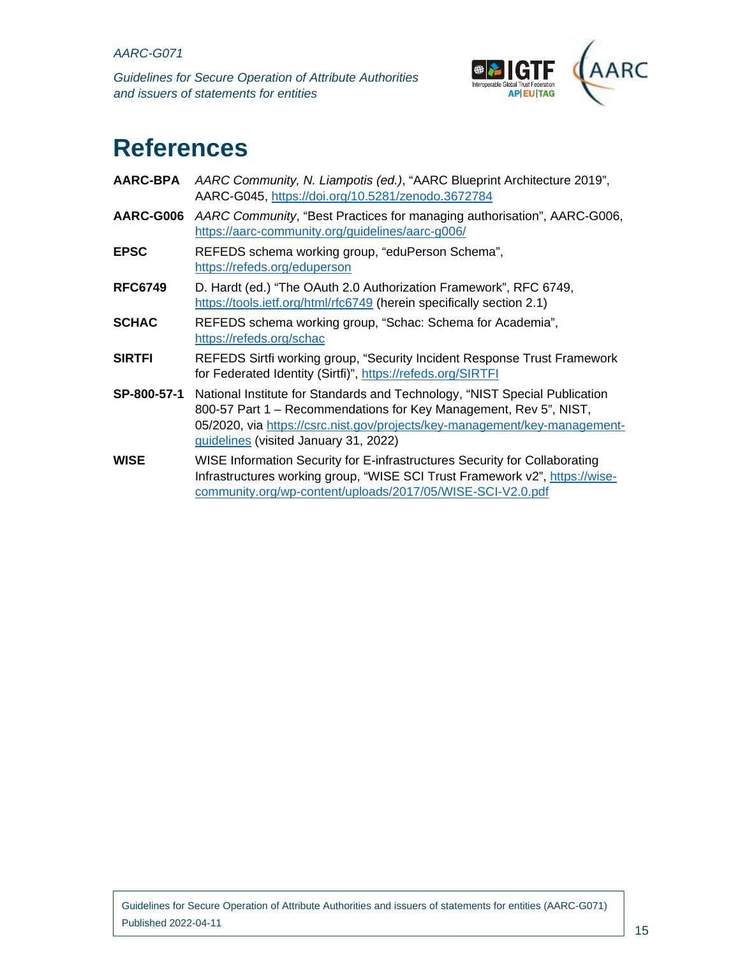*Guidelines for Secure Operation of Attribute Authorities and issuers of statements for entities* 



# **References**

| <b>AARC-BPA</b> | AARC Community, N. Liampotis (ed.), "AARC Blueprint Architecture 2019",<br>AARC-G045, https://doi.org/10.5281/zenodo.3672784                                                                                                                                           |
|-----------------|------------------------------------------------------------------------------------------------------------------------------------------------------------------------------------------------------------------------------------------------------------------------|
| AARC-G006       | AARC Community, "Best Practices for managing authorisation", AARC-G006,<br>https://aarc-community.org/guidelines/aarc-g006/                                                                                                                                            |
| <b>EPSC</b>     | REFEDS schema working group, "eduPerson Schema",<br>https://refeds.org/eduperson                                                                                                                                                                                       |
| <b>RFC6749</b>  | D. Hardt (ed.) "The OAuth 2.0 Authorization Framework", RFC 6749,<br>https://tools.ietf.org/html/rfc6749 (herein specifically section 2.1)                                                                                                                             |
| <b>SCHAC</b>    | REFEDS schema working group, "Schac: Schema for Academia",<br>https://refeds.org/schac                                                                                                                                                                                 |
| <b>SIRTFI</b>   | REFEDS Sirtfi working group, "Security Incident Response Trust Framework<br>for Federated Identity (Sirtfi)", https://refeds.org/SIRTFI                                                                                                                                |
| SP-800-57-1     | National Institute for Standards and Technology, "NIST Special Publication<br>800-57 Part 1 – Recommendations for Key Management, Rev 5", NIST,<br>05/2020, via https://csrc.nist.gov/projects/key-management/key-management-<br>guidelines (visited January 31, 2022) |
| WISE            | WISE Information Security for E-infrastructures Security for Collaborating<br>Infrastructures working group, "WISE SCI Trust Framework v2", https://wise-<br>community.org/wp-content/uploads/2017/05/WISE-SCI-V2.0.pdf                                                |